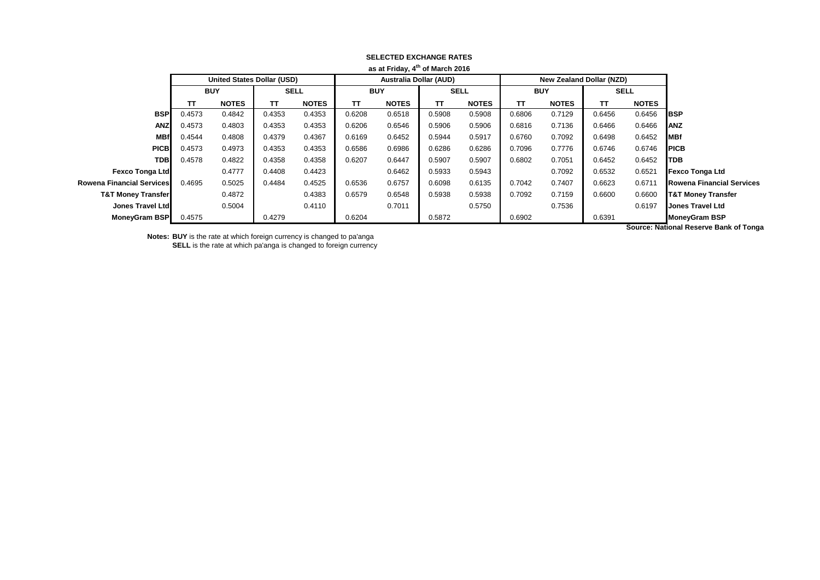| <b>as at Filuay, 4 UI Mai CII ZU IO</b> |            |                                   |             |              |                               |              |             |              |            |                          |             |              |                                  |
|-----------------------------------------|------------|-----------------------------------|-------------|--------------|-------------------------------|--------------|-------------|--------------|------------|--------------------------|-------------|--------------|----------------------------------|
|                                         |            | <b>United States Dollar (USD)</b> |             |              | <b>Australia Dollar (AUD)</b> |              |             |              |            | New Zealand Dollar (NZD) |             |              |                                  |
|                                         | <b>BUY</b> |                                   | <b>SELL</b> |              | <b>BUY</b>                    |              | <b>SELL</b> |              | <b>BUY</b> |                          | <b>SELL</b> |              |                                  |
|                                         | TΤ         | <b>NOTES</b>                      | тτ          | <b>NOTES</b> | TΤ                            | <b>NOTES</b> | TT.         | <b>NOTES</b> | TΤ         | <b>NOTES</b>             | TΤ          | <b>NOTES</b> |                                  |
| <b>BSP</b>                              | 0.4573     | 0.4842                            | 0.4353      | 0.4353       | 0.6208                        | 0.6518       | 0.5908      | 0.5908       | 0.6806     | 0.7129                   | 0.6456      | 0.6456       | <b>IBSP</b>                      |
| <b>ANZ</b>                              | 0.4573     | 0.4803                            | 0.4353      | 0.4353       | 0.6206                        | 0.6546       | 0.5906      | 0.5906       | 0.6816     | 0.7136                   | 0.6466      | 0.6466       | <b>ANZ</b>                       |
| <b>MBf</b>                              | 0.4544     | 0.4808                            | 0.4379      | 0.4367       | 0.6169                        | 0.6452       | 0.5944      | 0.5917       | 0.6760     | 0.7092                   | 0.6498      | 0.6452       | <b>MBf</b>                       |
| <b>PICB</b>                             | 0.4573     | 0.4973                            | 0.4353      | 0.4353       | 0.6586                        | 0.6986       | 0.6286      | 0.6286       | 0.7096     | 0.7776                   | 0.6746      | 0.6746       | <b>PICB</b>                      |
| <b>TDB</b>                              | 0.4578     | 0.4822                            | 0.4358      | 0.4358       | 0.6207                        | 0.6447       | 0.5907      | 0.5907       | 0.6802     | 0.7051                   | 0.6452      | 0.6452       | <b>TDB</b>                       |
| <b>Fexco Tonga Ltd</b>                  |            | 0.4777                            | 0.4408      | 0.4423       |                               | 0.6462       | 0.5933      | 0.5943       |            | 0.7092                   | 0.6532      | 0.6521       | <b>Fexco Tonga Ltd</b>           |
| Rowena Financial Services               | 0.4695     | 0.5025                            | 0.4484      | 0.4525       | 0.6536                        | 0.6757       | 0.6098      | 0.6135       | 0.7042     | 0.7407                   | 0.6623      | 0.6711       | <b>Rowena Financial Services</b> |
| <b>T&amp;T Money Transfer</b>           |            | 0.4872                            |             | 0.4383       | 0.6579                        | 0.6548       | 0.5938      | 0.5938       | 0.7092     | 0.7159                   | 0.6600      | 0.6600       | <b>T&amp;T Money Transfer</b>    |
| Jones Travel Ltd                        |            | 0.5004                            |             | 0.4110       |                               | 0.7011       |             | 0.5750       |            | 0.7536                   |             | 0.6197       | <b>Jones Travel Ltd</b>          |
| MoneyGram BSP                           | 0.4575     |                                   | 0.4279      |              | 0.6204                        |              | 0.5872      |              | 0.6902     |                          | 0.6391      |              | <b>MoneyGram BSP</b>             |
|                                         |            |                                   |             |              |                               |              |             |              |            |                          |             | .            |                                  |

## **SELECTED EXCHANGE RATES as at Friday, 4th of March 2016**

**Notes: BUY** is the rate at which foreign currency is changed to pa'anga **SELL** is the rate at which pa'anga is changed to foreign currency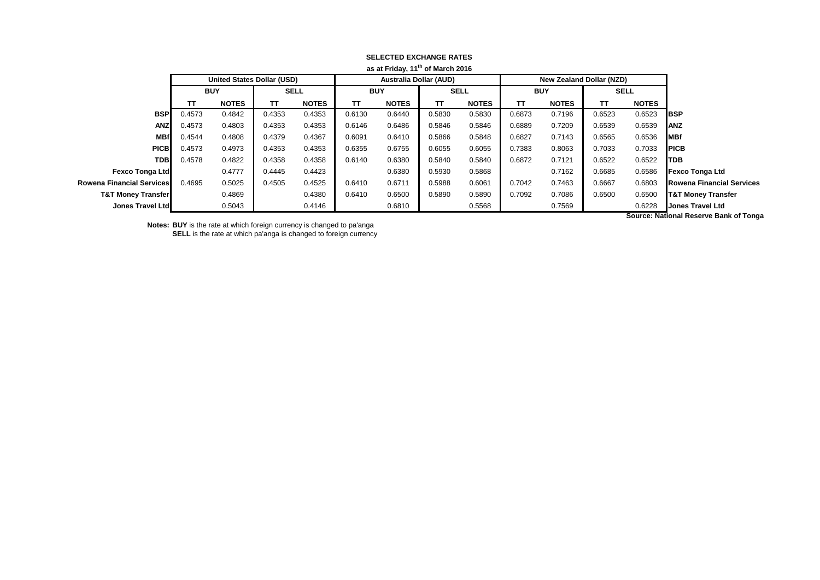| as at Friday, it or march 2016   |                                   |              |             |              |                               |              |             |              |            |                                 |             |              |                                      |
|----------------------------------|-----------------------------------|--------------|-------------|--------------|-------------------------------|--------------|-------------|--------------|------------|---------------------------------|-------------|--------------|--------------------------------------|
|                                  | <b>United States Dollar (USD)</b> |              |             |              | <b>Australia Dollar (AUD)</b> |              |             |              |            | <b>New Zealand Dollar (NZD)</b> |             |              |                                      |
|                                  | <b>BUY</b>                        |              | <b>SELL</b> |              | <b>BUY</b>                    |              | <b>SELL</b> |              | <b>BUY</b> |                                 | <b>SELL</b> |              |                                      |
|                                  | TΤ                                | <b>NOTES</b> | TΤ          | <b>NOTES</b> | TΤ                            | <b>NOTES</b> | TΤ          | <b>NOTES</b> | TΤ         | <b>NOTES</b>                    | TT.         | <b>NOTES</b> |                                      |
| <b>BSP</b>                       | 0.4573                            | 0.4842       | 0.4353      | 0.4353       | 0.6130                        | 0.6440       | 0.5830      | 0.5830       | 0.6873     | 0.7196                          | 0.6523      | 0.6523       | <b>IBSP</b>                          |
| <b>ANZ</b>                       | 0.4573                            | 0.4803       | 0.4353      | 0.4353       | 0.6146                        | 0.6486       | 0.5846      | 0.5846       | 0.6889     | 0.7209                          | 0.6539      | 0.6539       | <b>ANZ</b>                           |
| <b>MBf</b>                       | 0.4544                            | 0.4808       | 0.4379      | 0.4367       | 0.6091                        | 0.6410       | 0.5866      | 0.5848       | 0.6827     | 0.7143                          | 0.6565      | 0.6536       | <b>IMBf</b>                          |
| <b>PICB</b>                      | 0.4573                            | 0.4973       | 0.4353      | 0.4353       | 0.6355                        | 0.6755       | 0.6055      | 0.6055       | 0.7383     | 0.8063                          | 0.7033      | 0.7033       | <b>IPICB</b>                         |
| <b>TDB</b>                       | 0.4578                            | 0.4822       | 0.4358      | 0.4358       | 0.6140                        | 0.6380       | 0.5840      | 0.5840       | 0.6872     | 0.7121                          | 0.6522      | 0.6522       | <b>ITDB</b>                          |
| <b>Fexco Tonga Ltd</b>           |                                   | 0.4777       | 0.4445      | 0.4423       |                               | 0.6380       | 0.5930      | 0.5868       |            | 0.7162                          | 0.6685      | 0.6586       | <b>Fexco Tonga Ltd</b>               |
| <b>Rowena Financial Services</b> | 0.4695                            | 0.5025       | 0.4505      | 0.4525       | 0.6410                        | 0.6711       | 0.5988      | 0.6061       | 0.7042     | 0.7463                          | 0.6667      | 0.6803       | <b>Rowena Financial Services</b>     |
| <b>T&amp;T Money Transfer</b>    |                                   | 0.4869       |             | 0.4380       | 0.6410                        | 0.6500       | 0.5890      | 0.5890       | 0.7092     | 0.7086                          | 0.6500      | 0.6500       | <b>T&amp;T Money Transfer</b>        |
| Jones Travel Ltd                 |                                   | 0.5043       |             | 0.4146       |                               | 0.6810       |             | 0.5568       |            | 0.7569                          |             | 0.6228       | <b>Jones Travel Ltd</b>              |
|                                  |                                   |              |             |              |                               |              |             |              |            |                                 |             |              | Corresponded to Benemia Doubled Town |

## **SELECTED EXCHANGE RATES as at Friday, 11th of March 2016**

**Notes: BUY** is the rate at which foreign currency is changed to pa'anga

**SELL** is the rate at which pa'anga is changed to foreign currency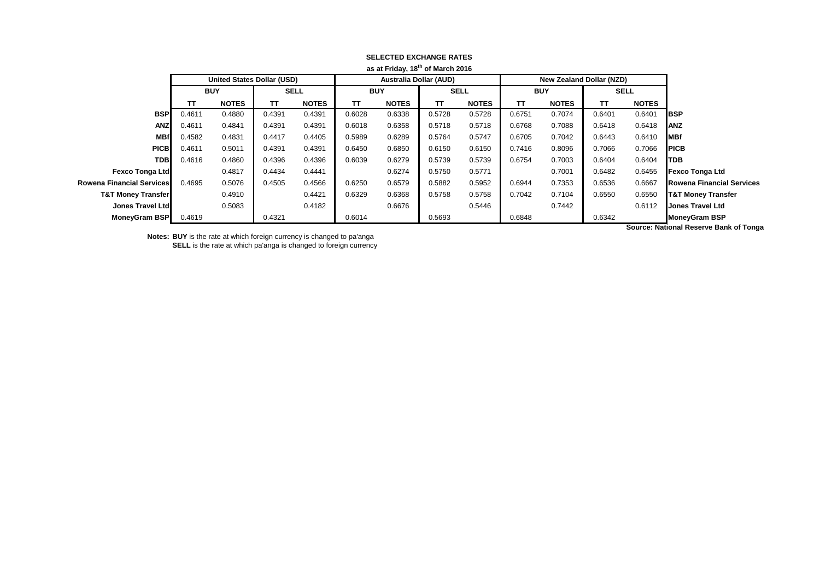|                               |            |                                   |             |              |                               | asatriluay, io o i march zu lo |             |              |            |                          |             |              |                                  |
|-------------------------------|------------|-----------------------------------|-------------|--------------|-------------------------------|--------------------------------|-------------|--------------|------------|--------------------------|-------------|--------------|----------------------------------|
|                               |            | <b>United States Dollar (USD)</b> |             |              | <b>Australia Dollar (AUD)</b> |                                |             |              |            | New Zealand Dollar (NZD) |             |              |                                  |
|                               | <b>BUY</b> |                                   | <b>SELL</b> |              | <b>BUY</b>                    |                                | <b>SELL</b> |              | <b>BUY</b> |                          | <b>SELL</b> |              |                                  |
|                               | TΤ         | <b>NOTES</b>                      | тτ          | <b>NOTES</b> | ТΤ                            | <b>NOTES</b>                   | TT          | <b>NOTES</b> | TΤ         | <b>NOTES</b>             | π           | <b>NOTES</b> |                                  |
| <b>BSP</b>                    | 0.4611     | 0.4880                            | 0.4391      | 0.4391       | 0.6028                        | 0.6338                         | 0.5728      | 0.5728       | 0.6751     | 0.7074                   | 0.6401      | 0.6401       | <b>BSP</b>                       |
| <b>ANZ</b>                    | 0.4611     | 0.4841                            | 0.4391      | 0.4391       | 0.6018                        | 0.6358                         | 0.5718      | 0.5718       | 0.6768     | 0.7088                   | 0.6418      | 0.6418       | <b>ANZ</b>                       |
| <b>MBf</b>                    | 0.4582     | 0.4831                            | 0.4417      | 0.4405       | 0.5989                        | 0.6289                         | 0.5764      | 0.5747       | 0.6705     | 0.7042                   | 0.6443      | 0.6410       | <b>MBf</b>                       |
| <b>PICB</b>                   | 0.4611     | 0.5011                            | 0.4391      | 0.4391       | 0.6450                        | 0.6850                         | 0.6150      | 0.6150       | 0.7416     | 0.8096                   | 0.7066      | 0.7066       | <b>PICB</b>                      |
| <b>TDB</b>                    | 0.4616     | 0.4860                            | 0.4396      | 0.4396       | 0.6039                        | 0.6279                         | 0.5739      | 0.5739       | 0.6754     | 0.7003                   | 0.6404      | 0.6404       | <b>TDB</b>                       |
| <b>Fexco Tonga Ltd</b>        |            | 0.4817                            | 0.4434      | 0.4441       |                               | 0.6274                         | 0.5750      | 0.5771       |            | 0.7001                   | 0.6482      | 0.6455       | <b>Fexco Tonga Ltd</b>           |
| Rowena Financial Services     | 0.4695     | 0.5076                            | 0.4505      | 0.4566       | 0.6250                        | 0.6579                         | 0.5882      | 0.5952       | 0.6944     | 0.7353                   | 0.6536      | 0.6667       | <b>Rowena Financial Services</b> |
| <b>T&amp;T Money Transfer</b> |            | 0.4910                            |             | 0.4421       | 0.6329                        | 0.6368                         | 0.5758      | 0.5758       | 0.7042     | 0.7104                   | 0.6550      | 0.6550       | <b>T&amp;T Money Transfer</b>    |
| Jones Travel Ltd              |            | 0.5083                            |             | 0.4182       |                               | 0.6676                         |             | 0.5446       |            | 0.7442                   |             | 0.6112       | <b>Jones Travel Ltd</b>          |
| <b>MoneyGram BSP</b>          | 0.4619     |                                   | 0.4321      |              | 0.6014                        |                                | 0.5693      |              | 0.6848     |                          | 0.6342      |              | <b>MoneyGram BSP</b>             |
|                               |            |                                   |             |              |                               |                                |             |              |            |                          |             | .            |                                  |

## **SELECTED EXCHANGE RATES as at Friday, 18th of March 2016**

**Notes: BUY** is the rate at which foreign currency is changed to pa'anga **SELL** is the rate at which pa'anga is changed to foreign currency